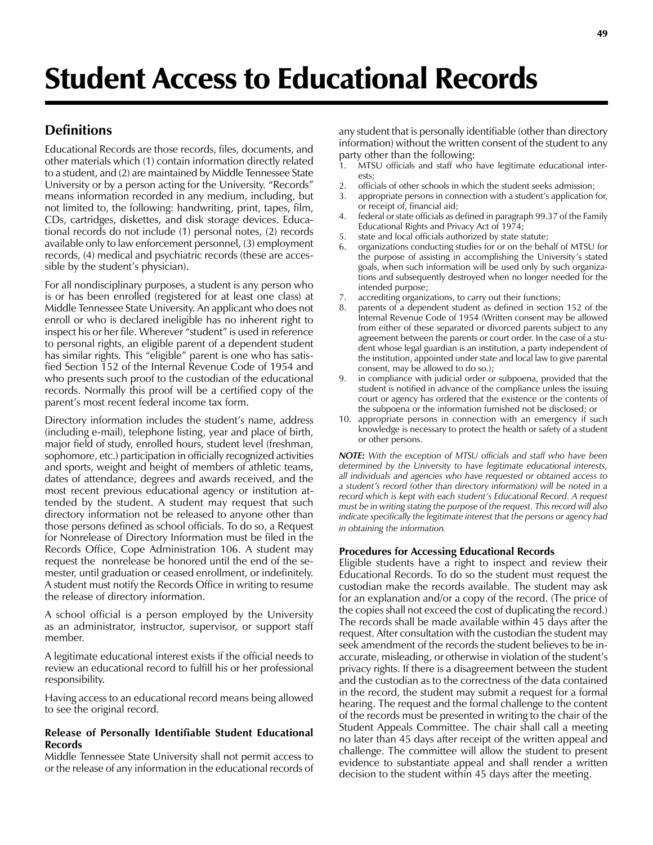# **Definitions**

Educational Records are those records, files, documents, and other materials which (1) contain information directly related to a student, and (2) are maintained by Middle Tennessee State University or by a person acting for the University. "Records" means information recorded in any medium, including, but not limited to, the following: handwriting, print, tapes, film, CDs, cartridges, diskettes, and disk storage devices. Educational records do not include (1) personal notes, (2) records available only to law enforcement personnel, (3) employment records, (4) medical and psychiatric records (these are accessible by the student's physician).

For all nondisciplinary purposes, a student is any person who is or has been enrolled (registered for at least one class) at Middle Tennessee State University. An applicant who does not enroll or who is declared ineligible has no inherent right to inspect his or her file. Wherever "student" is used in reference to personal rights, an eligible parent of a dependent student has similar rights. This "eligible" parent is one who has satisfied Section 152 of the Internal Revenue Code of 1954 and who presents such proof to the custodian of the educational records. Normally this proof will be a certified copy of the parent's most recent federal income tax form.

Directory information includes the student's name, address (including e-mail), telephone listing, year and place of birth, major field of study, enrolled hours, student level (freshman, sophomore, etc.) participation in officially recognized activities and sports, weight and height of members of athletic teams, dates of attendance, degrees and awards received, and the most recent previous educational agency or institution attended by the student. A student may request that such directory information not be released to anyone other than those persons defined as school officials. To do so, a Request for Nonrelease of Directory Information must be filed in the Records Office, Cope Administration 106. A student may request the nonrelease be honored until the end of the semester, until graduation or ceased enrollment, or indefinitely. A student must notify the Records Office in writing to resume the release of directory information.

A school official is a person employed by the University as an administrator, instructor, supervisor, or support staff member.

A legitimate educational interest exists if the official needs to review an educational record to fulfill his or her professional responsibility.

Having access to an educational record means being allowed to see the original record.

# **Release of Personally Identifiable Student Educational Records**

Middle Tennessee State University shall not permit access to or the release of any information in the educational records of any student that is personally identifiable (other than directory information) without the written consent of the student to any party other than the following:<br>1. MTSU officials and staff who

- MTSU officials and staff who have legitimate educational interests;
- 2. officials of other schools in which the student seeks admission;
- 3. appropriate persons in connection with a student's application for, or receipt of, financial aid;
- 4. federal or state officials as defined in paragraph 99.37 of the Family Educational Rights and Privacy Act of 1974;
- 5. state and local officials authorized by state statute;
- 6. organizations conducting studies for or on the behalf of MTSU for the purpose of assisting in accomplishing the University's stated goals, when such information will be used only by such organizations and subsequently destroyed when no longer needed for the intended purpose;
- 7. accrediting organizations, to carry out their functions;
- 8. parents of a dependent student as defined in section 152 of the Internal Revenue Code of 1954 (Written consent may be allowed from either of these separated or divorced parents subject to any agreement between the parents or court order. In the case of a student whose legal guardian is an institution, a party independent of the institution, appointed under state and local law to give parental consent, may be allowed to do so.);
- 9. in compliance with judicial order or subpoena, provided that the student is notified in advance of the compliance unless the issuing court or agency has ordered that the existence or the contents of the subpoena or the information furnished not be disclosed; or
- 10. appropriate persons in connection with an emergency if such knowledge is necessary to protect the health or safety of a student or other persons.

*NOTE: With the exception of MTSU officials and staff who have been determined by the University to have legitimate educational interests, all individuals and agencies who have requested or obtained access to a student's record (other than directory information) will be noted in a record which is kept with each student's Educational Record. A request must be in writing stating the purpose of the request. This record will also indicate specifically the legitimate interest that the persons or agency had in obtaining the information.*

# **Procedures for Accessing Educational Records**

Eligible students have a right to inspect and review their Educational Records. To do so the student must request the custodian make the records available. The student may ask for an explanation and/or a copy of the record. (The price of the copies shall not exceed the cost of duplicating the record.) The records shall be made available within 45 days after the request. After consultation with the custodian the student may seek amendment of the records the student believes to be inaccurate, misleading, or otherwise in violation of the student's privacy rights. If there is a disagreement between the student and the custodian as to the correctness of the data contained in the record, the student may submit a request for a formal hearing. The request and the formal challenge to the content of the records must be presented in writing to the chair of the Student Appeals Committee. The chair shall call a meeting no later than 45 days after receipt of the written appeal and challenge. The committee will allow the student to present evidence to substantiate appeal and shall render a written decision to the student within 45 days after the meeting.